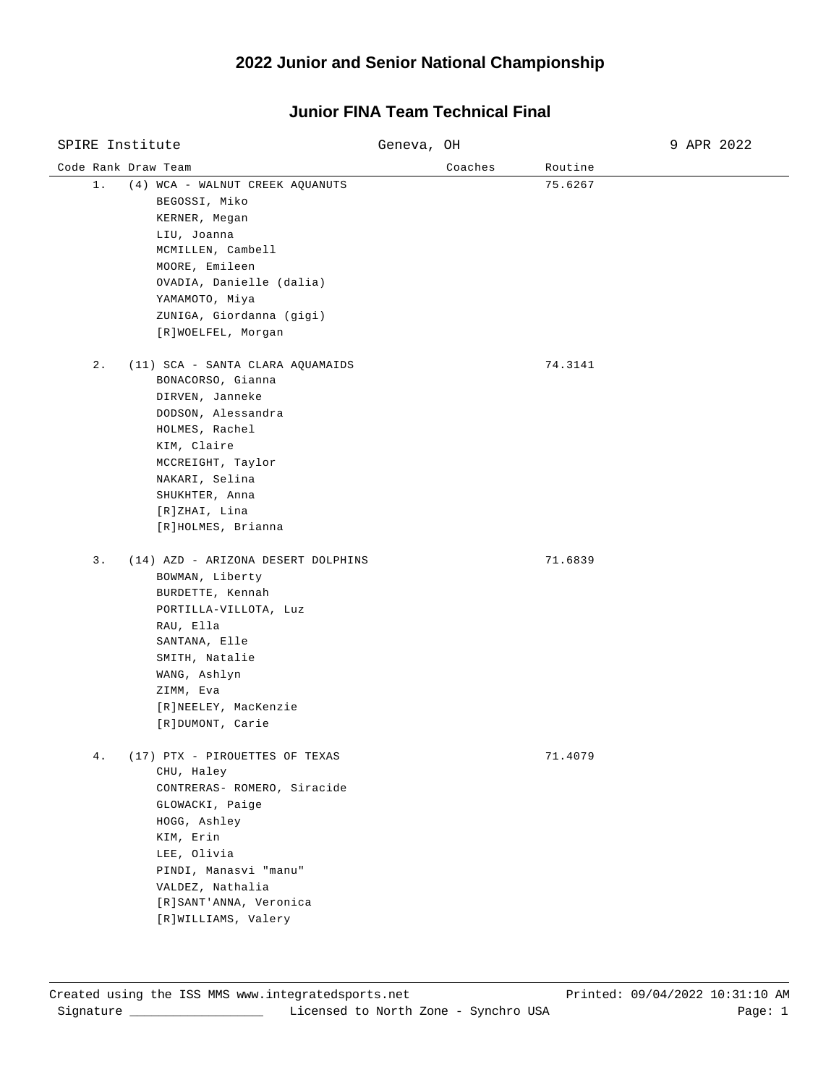#### Code Rank Draw Team and Coaches Routine Routine Routine Routine SPIRE Institute Geneva, OH 9 APR 2022 1. (4) WCA - WALNUT CREEK AQUANUTS 75.6267 BEGOSSI, Miko KERNER, Megan LIU, Joanna MCMILLEN, Cambell MOORE, Emileen OVADIA, Danielle (dalia) YAMAMOTO, Miya ZUNIGA, Giordanna (gigi) [R]WOELFEL, Morgan 2. (11) SCA - SANTA CLARA AQUAMAIDS 74.3141 BONACORSO, Gianna DIRVEN, Janneke DODSON, Alessandra HOLMES, Rachel KIM, Claire MCCREIGHT, Taylor NAKARI, Selina SHUKHTER, Anna [R]ZHAI, Lina [R]HOLMES, Brianna 3. (14) AZD - ARIZONA DESERT DOLPHINS 71.6839 BOWMAN, Liberty BURDETTE, Kennah PORTILLA-VILLOTA, Luz RAU, Ella SANTANA, Elle SMITH, Natalie WANG, Ashlyn ZIMM, Eva [R]NEELEY, MacKenzie [R]DUMONT, Carie 4. (17) PTX - PIROUETTES OF TEXAS 71.4079 CHU, Haley CONTRERAS- ROMERO, Siracide GLOWACKI, Paige HOGG, Ashley KIM, Erin LEE, Olivia PINDI, Manasvi "manu" VALDEZ, Nathalia [R]SANT'ANNA, Veronica [R]WILLIAMS, Valery

#### **Junior FINA Team Technical Final**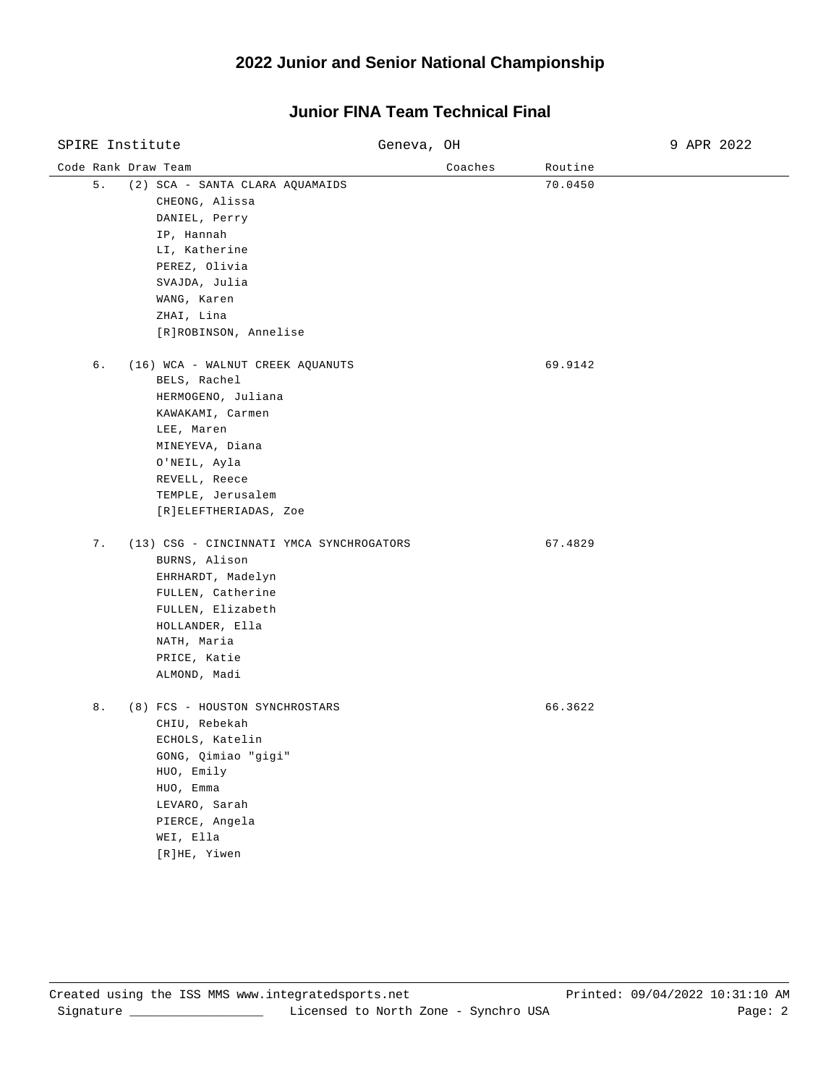| SPIRE Institute                                                                                                                                                                                                  | Geneva, OH |         | 9 APR 2022 |
|------------------------------------------------------------------------------------------------------------------------------------------------------------------------------------------------------------------|------------|---------|------------|
| Code Rank Draw Team                                                                                                                                                                                              | Coaches    | Routine |            |
| 5.<br>(2) SCA - SANTA CLARA AQUAMAIDS<br>CHEONG, Alissa<br>DANIEL, Perry<br>IP, Hannah<br>LI, Katherine<br>PEREZ, Olivia<br>SVAJDA, Julia<br>WANG, Karen<br>ZHAI, Lina<br>[R]ROBINSON, Annelise                  |            | 70.0450 |            |
| б.<br>(16) WCA - WALNUT CREEK AQUANUTS<br>BELS, Rachel<br>HERMOGENO, Juliana<br>KAWAKAMI, Carmen<br>LEE, Maren<br>MINEYEVA, Diana<br>O'NEIL, Ayla<br>REVELL, Reece<br>TEMPLE, Jerusalem<br>[R]ELEFTHERIADAS, Zoe |            | 69.9142 |            |
| 7.<br>(13) CSG - CINCINNATI YMCA SYNCHROGATORS<br>BURNS, Alison<br>EHRHARDT, Madelyn<br>FULLEN, Catherine<br>FULLEN, Elizabeth<br>HOLLANDER, Ella<br>NATH, Maria<br>PRICE, Katie<br>ALMOND, Madi                 |            | 67.4829 |            |
| 8.<br>(8) FCS - HOUSTON SYNCHROSTARS<br>CHIU, Rebekah<br>ECHOLS, Katelin<br>GONG, Qimiao "gigi"<br>HUO, Emily<br>HUO, Emma<br>LEVARO, Sarah<br>PIERCE, Angela<br>WEI, Ella<br>[R]HE, Yiwen                       |            | 66.3622 |            |

## **Junior FINA Team Technical Final**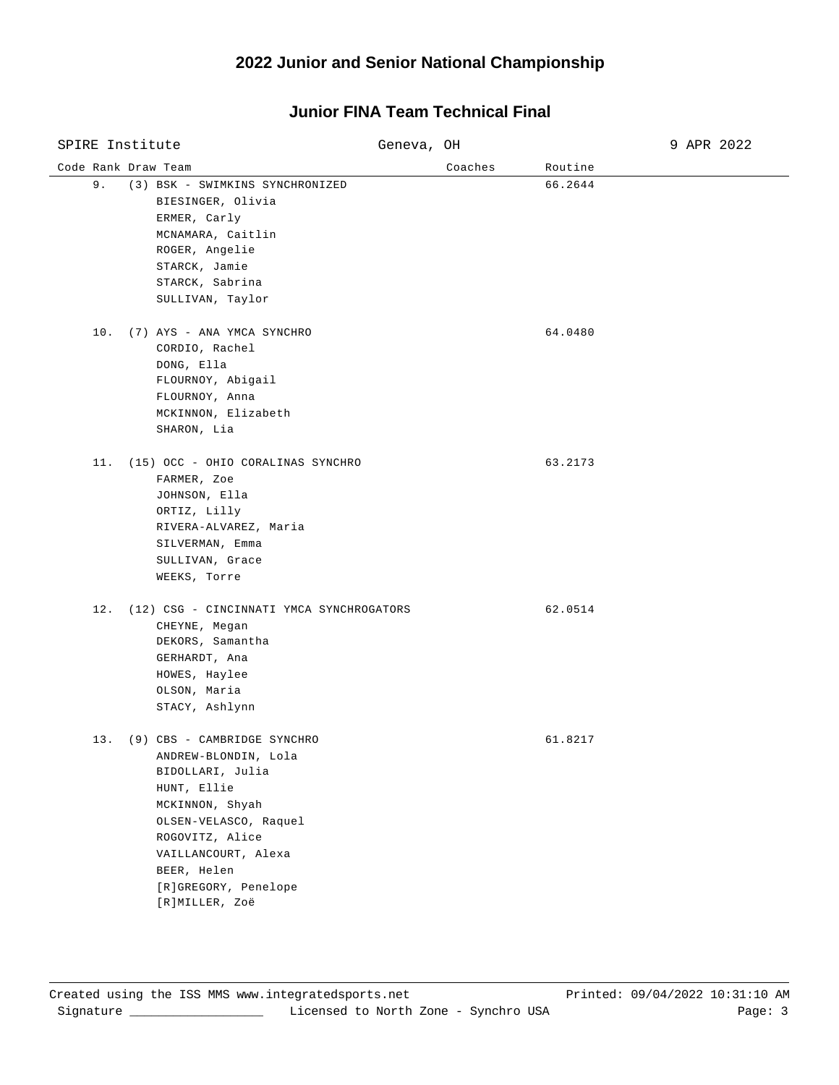| SPIRE Institute |                                                                                                                                                                                                                                           | Geneva, OH |         | 9 APR 2022 |
|-----------------|-------------------------------------------------------------------------------------------------------------------------------------------------------------------------------------------------------------------------------------------|------------|---------|------------|
|                 | Code Rank Draw Team                                                                                                                                                                                                                       | Coaches    | Routine |            |
| 9.              | (3) BSK - SWIMKINS SYNCHRONIZED<br>BIESINGER, Olivia<br>ERMER, Carly<br>MCNAMARA, Caitlin<br>ROGER, Angelie<br>STARCK, Jamie<br>STARCK, Sabrina<br>SULLIVAN, Taylor                                                                       |            | 66.2644 |            |
| 10.             | (7) AYS - ANA YMCA SYNCHRO<br>CORDIO, Rachel<br>DONG, Ella<br>FLOURNOY, Abigail<br>FLOURNOY, Anna<br>MCKINNON, Elizabeth<br>SHARON, Lia                                                                                                   |            | 64.0480 |            |
| 11.             | (15) OCC - OHIO CORALINAS SYNCHRO<br>FARMER, Zoe<br>JOHNSON, Ella<br>ORTIZ, Lilly<br>RIVERA-ALVAREZ, Maria<br>SILVERMAN, Emma<br>SULLIVAN, Grace<br>WEEKS, Torre                                                                          |            | 63.2173 |            |
| 12.             | (12) CSG - CINCINNATI YMCA SYNCHROGATORS<br>CHEYNE, Megan<br>DEKORS, Samantha<br>GERHARDT, Ana<br>HOWES, Haylee<br>OLSON, Maria<br>STACY, Ashlynn                                                                                         |            | 62.0514 |            |
|                 | 13. (9) CBS - CAMBRIDGE SYNCHRO<br>ANDREW-BLONDIN, Lola<br>BIDOLLARI, Julia<br>HUNT, Ellie<br>MCKINNON, Shyah<br>OLSEN-VELASCO, Raquel<br>ROGOVITZ, Alice<br>VAILLANCOURT, Alexa<br>BEER, Helen<br>[R]GREGORY, Penelope<br>[R]MILLER, Zoë |            | 61.8217 |            |

## **Junior FINA Team Technical Final**

 $\overline{\phantom{0}}$